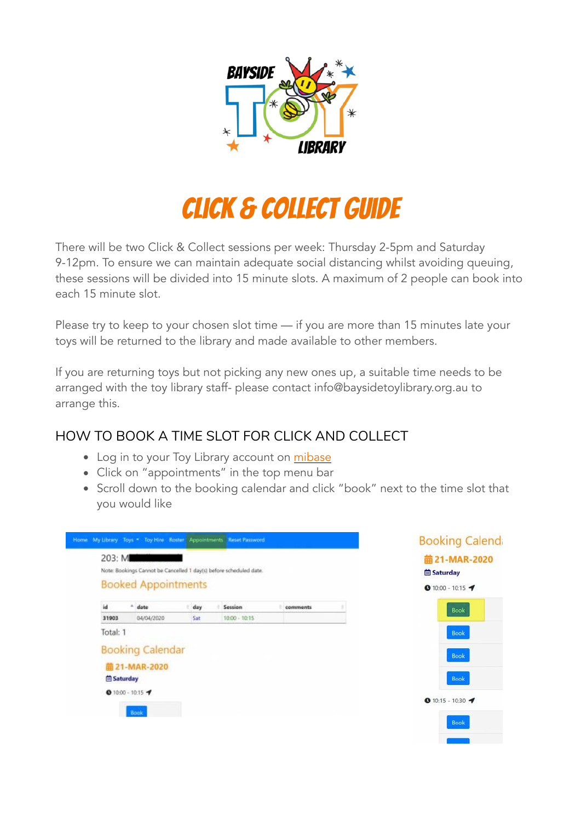

# Click & Collect guide

There will be two Click & Collect sessions per week: Thursday 2-5pm and Saturday 9-12pm. To ensure we can maintain adequate social distancing whilst avoiding queuing, these sessions will be divided into 15 minute slots. A maximum of 2 people can book into each 15 minute slot.

Please try to keep to your chosen slot time — if you are more than 15 minutes late your toys will be returned to the library and made available to other members.

If you are returning toys but not picking any new ones up, a suitable time needs to be arranged with the toy library staff- please contact [info@baysidetoylibrary.org.au](mailto:info@baysidetoylibrary.org.au) to arrange this.

# HOW TO BOOK A TIME SLOT FOR CLICK AND COLLECT

- Log in to your Toy Library account on [mibase](https://bayside.mibase.com.au/mem/login.php)
- Click on "appointments" in the top menu bar
- Scroll down to the booking calendar and click "book" next to the time slot that you would like

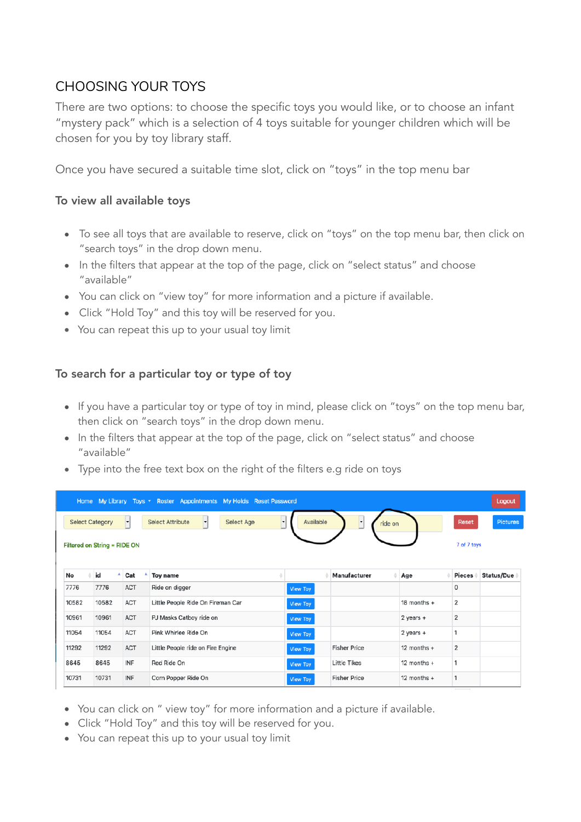## CHOOSING YOUR TOYS

There are two options: to choose the specific toys you would like, or to choose an infant "mystery pack" which is a selection of 4 toys suitable for younger children which will be chosen for you by toy library staff.

Once you have secured a suitable time slot, click on "toys" in the top menu bar

#### To view all available toys

- To see all toys that are available to reserve, click on "toys" on the top menu bar, then click on "search toys" in the drop down menu.
- In the filters that appear at the top of the page, click on "select status" and choose "available"
- You can click on "view toy" for more information and a picture if available.
- Click "Hold Toy" and this toy will be reserved for you.
- You can repeat this up to your usual toy limit

#### To search for a particular toy or type of toy

- If you have a particular toy or type of toy in mind, please click on "toys" on the top menu bar, then click on "search toys" in the drop down menu.
- In the filters that appear at the top of the page, click on "select status" and choose "available"
- Type into the free text box on the right of the filters e.g ride on toys

| Home My Library Toys - Roster Appointments My Holds Reset Password                                                                                                   |       |            |                                   |                 |                     |               |                | Logout            |
|----------------------------------------------------------------------------------------------------------------------------------------------------------------------|-------|------------|-----------------------------------|-----------------|---------------------|---------------|----------------|-------------------|
| ᅱ<br>Available<br>Select Age<br><b>Select Category</b><br>Select Attribute<br>$\overline{\phantom{a}}$<br>$\vert \cdot \vert$<br>$\overline{\phantom{a}}$<br>ride on |       |            |                                   |                 |                     |               | <b>Reset</b>   | <b>Pictures</b>   |
| Filtered on String = RIDE ON                                                                                                                                         |       |            |                                   |                 |                     |               | 7 of 7 toys    |                   |
|                                                                                                                                                                      |       |            |                                   |                 |                     |               |                |                   |
| No                                                                                                                                                                   | id    | Cat        | <b>Toy name</b>                   |                 | Manufacturer        | Age           | <b>Pieces</b>  | <b>Status/Due</b> |
| 7776                                                                                                                                                                 | 7776  | ACT        | Ride on digger                    | View Toy        |                     |               | $\mathbf 0$    |                   |
| 10582                                                                                                                                                                | 10582 | <b>ACT</b> | Little People Ride On Fireman Car | View Toy        |                     | 18 months +   | 2              |                   |
| 10961                                                                                                                                                                | 10961 | <b>ACT</b> | PJ Masks Catboy ride on           | View Toy        |                     | $2$ years $+$ | $\overline{2}$ |                   |
| 11054                                                                                                                                                                | 11054 | <b>ACT</b> | Pink Whirlee Ride On              | View Toy        |                     | $2$ years $+$ | 1              |                   |
| 11292                                                                                                                                                                | 11292 | ACT        | Little People ride on Fire Engine | View Toy        | <b>Fisher Price</b> | 12 months $+$ | 2              |                   |
| 8645                                                                                                                                                                 | 8645  | INF        | Red Ride On                       | <b>View Toy</b> | <b>Little Tikes</b> | 12 months $+$ | 1              |                   |
| 10731                                                                                                                                                                | 10731 | INF        | Corn Popper Ride On               | View Toy        | <b>Fisher Price</b> | 12 months $+$ |                |                   |

- You can click on " view toy" for more information and a picture if available.
- Click "Hold Toy" and this toy will be reserved for you.
- You can repeat this up to your usual toy limit